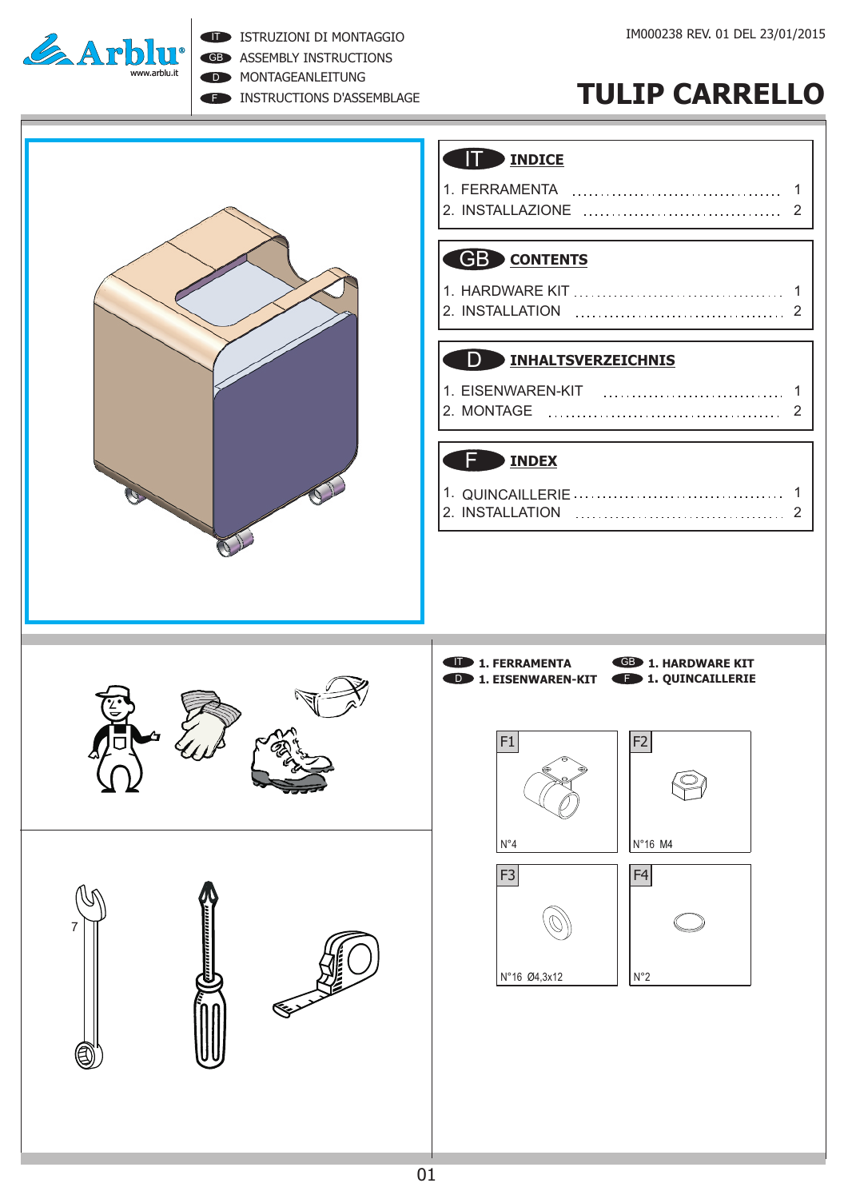

ISTRUZIONI DI MONTAGGIO

GB ASSEMBLY INSTRUCTIONS

D **MONTAGEANLEITUNG** 

**F INSTRUCTIONS D'ASSEMBLAGE** 

# **TULIP CARRELLO**

### IT **INDICE**

| 2. INSTALLAZIONE |  |
|------------------|--|

### GB **CONTENTS**

#### D **INHALTSVERZEICHNIS**

| l 1. EISENWAREN-KIT |  |  |  |  |  |  |  |
|---------------------|--|--|--|--|--|--|--|
| l2. MONTAGE         |  |  |  |  |  |  |  |

### **F** INDEX

| 2. INSTALLATION |  |
|-----------------|--|



⋐⋗

J

7



**1. FERRAMENTA CB 1. HARDWARE KIT D** 1. EISENWAREN-KIT **CD** 1. QUINCAILLERIE



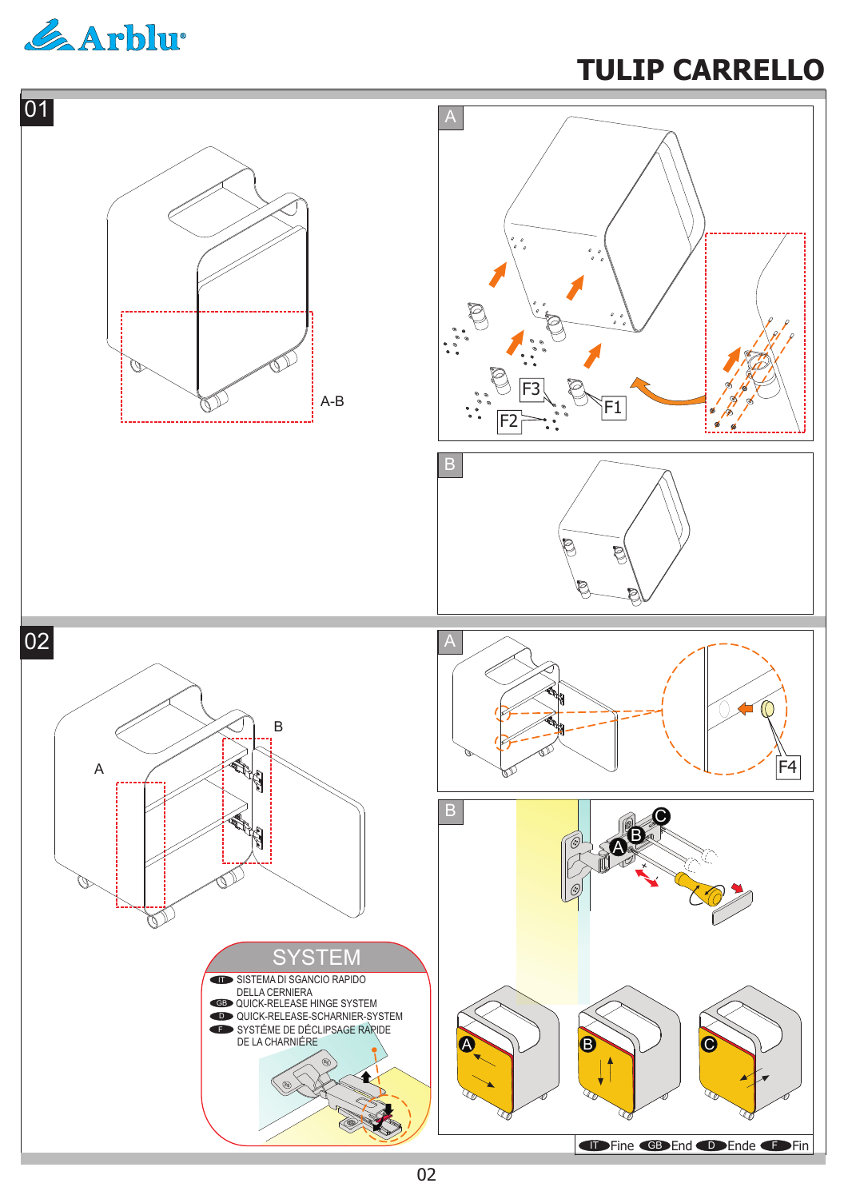

# **TULIP CARRELLO**

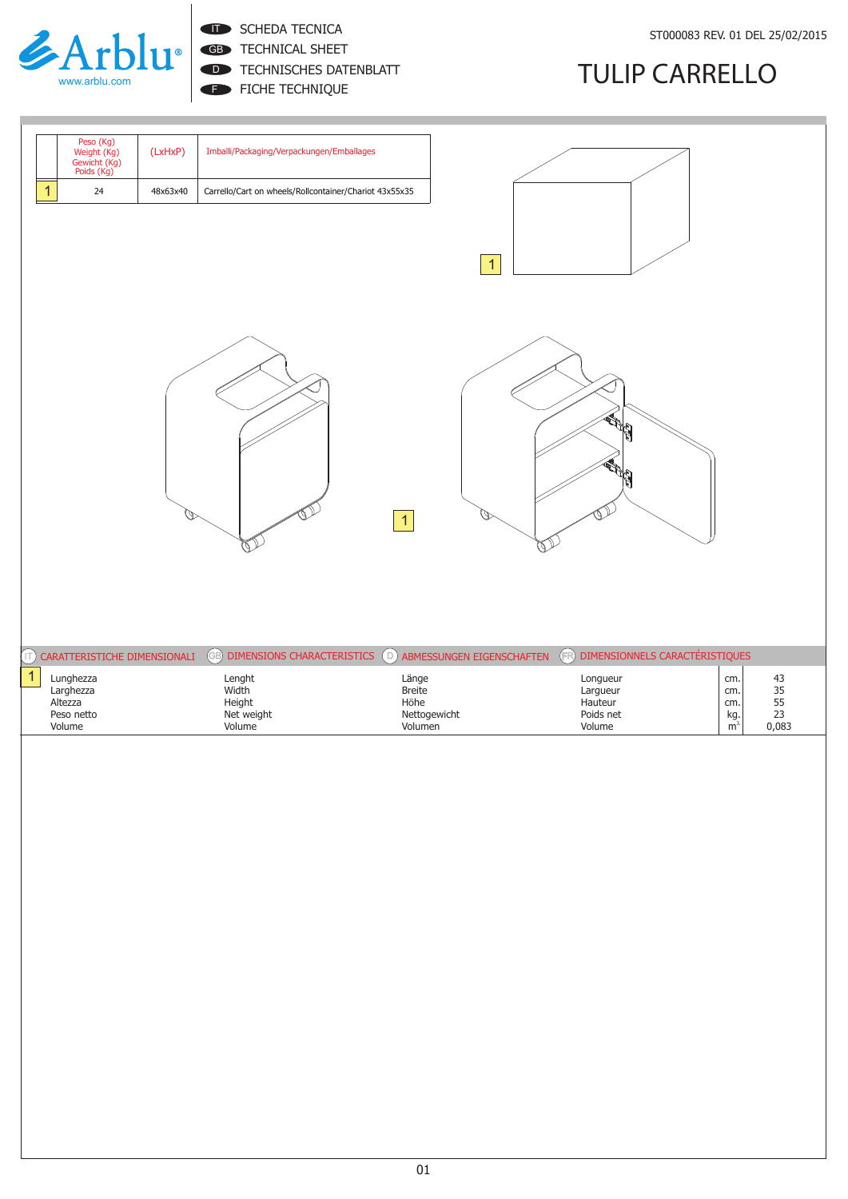

**IT SCHEDA TECNICA** 

GB TECHNICAL SHEET

FICHE TECHNIQUE D TECHNISCHES DATENBLATT

# **TULIP CARRELLO**

|              |                                                        | (LxHxP)  | Imballi/Packaging/Verpackungen/Emballages                        |                                 |                                               |                                                                              |
|--------------|--------------------------------------------------------|----------|------------------------------------------------------------------|---------------------------------|-----------------------------------------------|------------------------------------------------------------------------------|
|              | Peso (Kg)<br>Weight (Kg)<br>Gewicht (Kg)<br>Poids (Kg) |          |                                                                  |                                 |                                               |                                                                              |
| $\mathbf{1}$ | 24                                                     | 48x63x40 | Carrello/Cart on wheels/Rollcontainer/Chariot 43x55x35           |                                 |                                               |                                                                              |
|              |                                                        |          |                                                                  |                                 |                                               |                                                                              |
|              |                                                        |          |                                                                  | $\overline{1}$                  |                                               |                                                                              |
|              |                                                        |          |                                                                  |                                 |                                               |                                                                              |
|              |                                                        |          |                                                                  |                                 |                                               |                                                                              |
|              |                                                        |          |                                                                  |                                 |                                               |                                                                              |
|              |                                                        |          |                                                                  |                                 | H                                             |                                                                              |
|              |                                                        |          |                                                                  |                                 |                                               |                                                                              |
|              |                                                        |          |                                                                  |                                 |                                               |                                                                              |
|              |                                                        |          |                                                                  | 1                               |                                               |                                                                              |
|              |                                                        |          |                                                                  |                                 |                                               |                                                                              |
|              |                                                        |          |                                                                  |                                 |                                               |                                                                              |
|              |                                                        |          |                                                                  |                                 |                                               |                                                                              |
|              |                                                        |          |                                                                  |                                 |                                               |                                                                              |
| $(\top)$     | CARATTERISTICHE DIMENSIONALI                           |          | <b>ED DIMENSIONS CHARACTERISTICS D ABMESSUNGEN EIGENSCHAFTEN</b> |                                 | $\bigoplus$<br>DIMENSIONNELS CARACTÉRISTIQUES |                                                                              |
| $\mathbf{1}$ | Lunghezza<br>Larghezza                                 |          | Lenght<br>Width                                                  | Länge<br>Breite                 | Longueur<br>Largueur                          | cm.<br>cm.                                                                   |
|              | Altezza<br>Peso netto<br>Volume                        |          | Height<br>Net weight<br>Volume                                   | Höhe<br>Nettogewicht<br>Volumen | Hauteur<br>Poids net<br>Volume                | 43<br>35<br>55<br>55<br>23<br>cm.<br>$\frac{\text{kg}}{\text{m}^3}$<br>0,083 |
|              |                                                        |          |                                                                  |                                 |                                               |                                                                              |
|              |                                                        |          |                                                                  |                                 |                                               |                                                                              |
|              |                                                        |          |                                                                  |                                 |                                               |                                                                              |
|              |                                                        |          |                                                                  |                                 |                                               |                                                                              |
|              |                                                        |          |                                                                  |                                 |                                               |                                                                              |
|              |                                                        |          |                                                                  |                                 |                                               |                                                                              |
|              |                                                        |          |                                                                  |                                 |                                               |                                                                              |
|              |                                                        |          |                                                                  |                                 |                                               |                                                                              |
|              |                                                        |          |                                                                  |                                 |                                               |                                                                              |
|              |                                                        |          |                                                                  |                                 |                                               |                                                                              |
|              |                                                        |          |                                                                  |                                 |                                               |                                                                              |